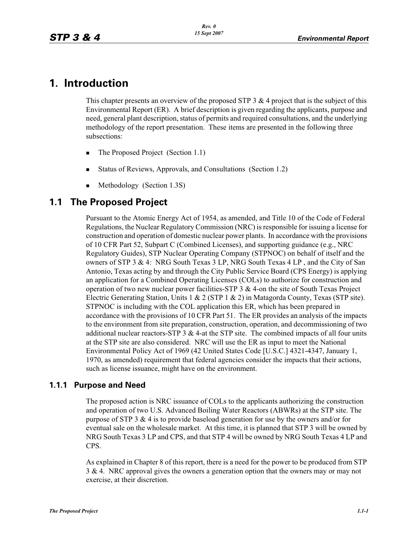# **1. Introduction**

This chapter presents an overview of the proposed STP 3  $\&$  4 project that is the subject of this Environmental Report (ER). A brief description is given regarding the applicants, purpose and need, general plant description, status of permits and required consultations, and the underlying methodology of the report presentation. These items are presented in the following three subsections:

- -The Proposed Project (Section 1.1)
- -Status of Reviews, Approvals, and Consultations (Section 1.2)
- -Methodology (Section 1.3S)

# **1.1 The Proposed Project**

Pursuant to the Atomic Energy Act of 1954, as amended, and Title 10 of the Code of Federal Regulations, the Nuclear Regulatory Commission (NRC) is responsible for issuing a license for construction and operation of domestic nuclear power plants. In accordance with the provisions of 10 CFR Part 52, Subpart C (Combined Licenses), and supporting guidance (e.g., NRC Regulatory Guides), STP Nuclear Operating Company (STPNOC) on behalf of itself and the owners of STP 3 & 4: NRG South Texas 3 LP, NRG South Texas 4 LP , and the City of San Antonio, Texas acting by and through the City Public Service Board (CPS Energy) is applying an application for a Combined Operating Licenses (COLs) to authorize for construction and operation of two new nuclear power facilities-STP 3 & 4-on the site of South Texas Project Electric Generating Station, Units 1 & 2 (STP 1 & 2) in Matagorda County, Texas (STP site). STPNOC is including with the COL application this ER, which has been prepared in accordance with the provisions of 10 CFR Part 51. The ER provides an analysis of the impacts to the environment from site preparation, construction, operation, and decommissioning of two additional nuclear reactors-STP  $3 \& 4$ -at the STP site. The combined impacts of all four units at the STP site are also considered. NRC will use the ER as input to meet the National Environmental Policy Act of 1969 (42 United States Code [U.S.C.] 4321-4347, January 1, 1970, as amended) requirement that federal agencies consider the impacts that their actions, such as license issuance, might have on the environment.

### **1.1.1 Purpose and Need**

The proposed action is NRC issuance of COLs to the applicants authorizing the construction and operation of two U.S. Advanced Boiling Water Reactors (ABWRs) at the STP site. The purpose of STP 3  $\&$  4 is to provide baseload generation for use by the owners and/or for eventual sale on the wholesale market. At this time, it is planned that STP 3 will be owned by NRG South Texas 3 LP and CPS, and that STP 4 will be owned by NRG South Texas 4 LP and CPS.

As explained in Chapter 8 of this report, there is a need for the power to be produced from STP 3 & 4. NRC approval gives the owners a generation option that the owners may or may not exercise, at their discretion.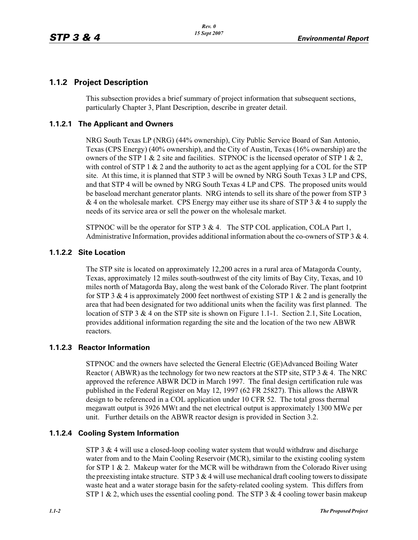# **1.1.2 Project Description**

This subsection provides a brief summary of project information that subsequent sections, particularly Chapter 3, Plant Description, describe in greater detail.

## **1.1.2.1 The Applicant and Owners**

NRG South Texas LP (NRG) (44% ownership), City Public Service Board of San Antonio, Texas (CPS Energy) (40% ownership), and the City of Austin, Texas (16% ownership) are the owners of the STP 1  $\&$  2 site and facilities. STPNOC is the licensed operator of STP 1  $\&$  2, with control of STP 1  $\&$  2 and the authority to act as the agent applying for a COL for the STP site. At this time, it is planned that STP 3 will be owned by NRG South Texas 3 LP and CPS, and that STP 4 will be owned by NRG South Texas 4 LP and CPS. The proposed units would be baseload merchant generator plants. NRG intends to sell its share of the power from STP 3  $& 4$  on the wholesale market. CPS Energy may either use its share of STP 3  $& 4$  to supply the needs of its service area or sell the power on the wholesale market.

STPNOC will be the operator for STP 3 & 4. The STP COL application, COLA Part 1, Administrative Information, provides additional information about the co-owners of STP 3  $& 4$ .

### **1.1.2.2 Site Location**

The STP site is located on approximately 12,200 acres in a rural area of Matagorda County, Texas, approximately 12 miles south-southwest of the city limits of Bay City, Texas, and 10 miles north of Matagorda Bay, along the west bank of the Colorado River. The plant footprint for STP 3 & 4 is approximately 2000 feet northwest of existing STP 1 & 2 and is generally the area that had been designated for two additional units when the facility was first planned. The location of STP 3 & 4 on the STP site is shown on Figure 1.1-1. Section 2.1, Site Location, provides additional information regarding the site and the location of the two new ABWR reactors.

### **1.1.2.3 Reactor Information**

STPNOC and the owners have selected the General Electric (GE)Advanced Boiling Water Reactor ( ABWR) as the technology for two new reactors at the STP site, STP 3 & 4. The NRC approved the reference ABWR DCD in March 1997. The final design certification rule was published in the Federal Register on May 12, 1997 (62 FR 25827). This allows the ABWR design to be referenced in a COL application under 10 CFR 52. The total gross thermal megawatt output is 3926 MWt and the net electrical output is approximately 1300 MWe per unit. Further details on the ABWR reactor design is provided in Section 3.2.

### **1.1.2.4 Cooling System Information**

STP 3  $&$  4 will use a closed-loop cooling water system that would withdraw and discharge water from and to the Main Cooling Reservoir (MCR), similar to the existing cooling system for STP 1  $\&$  2. Makeup water for the MCR will be withdrawn from the Colorado River using the preexisting intake structure. STP  $3 \& 4$  will use mechanical draft cooling towers to dissipate waste heat and a water storage basin for the safety-related cooling system. This differs from STP 1 & 2, which uses the essential cooling pond. The STP 3 & 4 cooling tower basin makeup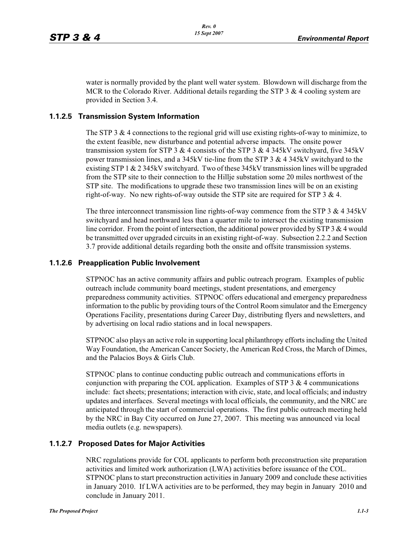water is normally provided by the plant well water system. Blowdown will discharge from the MCR to the Colorado River. Additional details regarding the STP 3  $\&$  4 cooling system are provided in Section 3.4.

#### **1.1.2.5 Transmission System Information**

The STP 3  $&$  4 connections to the regional grid will use existing rights-of-way to minimize, to the extent feasible, new disturbance and potential adverse impacts. The onsite power transmission system for STP 3  $&4$  consists of the STP 3  $&4$  345kV switchyard, five 345kV power transmission lines, and a 345kV tie-line from the STP 3 & 4 345kV switchyard to the existing STP 1 & 2 345kV switchyard. Two of these 345kV transmission lines will be upgraded from the STP site to their connection to the Hillje substation some 20 miles northwest of the STP site. The modifications to upgrade these two transmission lines will be on an existing right-of-way. No new rights-of-way outside the STP site are required for STP  $3 \& 4$ .

The three interconnect transmission line rights-of-way commence from the STP 3  $\&$  4 345kV switchyard and head northward less than a quarter mile to intersect the existing transmission line corridor. From the point of intersection, the additional power provided by STP  $3 \& 4$  would be transmitted over upgraded circuits in an existing right-of-way. Subsection 2.2.2 and Section 3.7 provide additional details regarding both the onsite and offsite transmission systems.

#### **1.1.2.6 Preapplication Public Involvement**

STPNOC has an active community affairs and public outreach program. Examples of public outreach include community board meetings, student presentations, and emergency preparedness community activities. STPNOC offers educational and emergency preparedness information to the public by providing tours of the Control Room simulator and the Emergency Operations Facility, presentations during Career Day, distributing flyers and newsletters, and by advertising on local radio stations and in local newspapers.

STPNOC also plays an active role in supporting local philanthropy efforts including the United Way Foundation, the American Cancer Society, the American Red Cross, the March of Dimes, and the Palacios Boys & Girls Club.

STPNOC plans to continue conducting public outreach and communications efforts in conjunction with preparing the COL application. Examples of STP  $3 \& 4$  communications include: fact sheets; presentations; interaction with civic, state, and local officials; and industry updates and interfaces. Several meetings with local officials, the community, and the NRC are anticipated through the start of commercial operations. The first public outreach meeting held by the NRC in Bay City occurred on June 27, 2007. This meeting was announced via local media outlets (e.g. newspapers).

#### **1.1.2.7 Proposed Dates for Major Activities**

NRC regulations provide for COL applicants to perform both preconstruction site preparation activities and limited work authorization (LWA) activities before issuance of the COL. STPNOC plans to start preconstruction activities in January 2009 and conclude these activities in January 2010. If LWA activities are to be performed, they may begin in January 2010 and conclude in January 2011.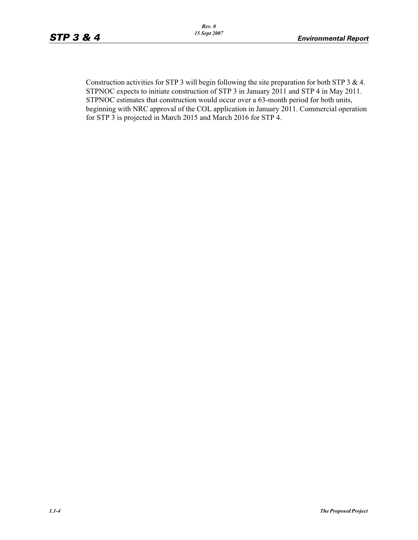Construction activities for STP 3 will begin following the site preparation for both STP 3 & 4. STPNOC expects to initiate construction of STP 3 in January 2011 and STP 4 in May 2011. STPNOC estimates that construction would occur over a 63-month period for both units, beginning with NRC approval of the COL application in January 2011. Commercial operation for STP 3 is projected in March 2015 and March 2016 for STP 4.